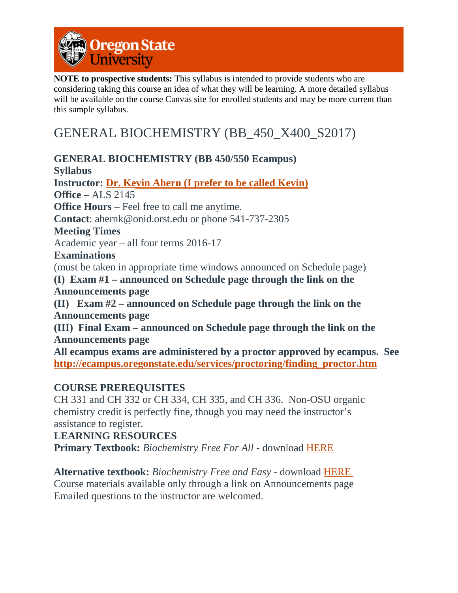

**NOTE to prospective students:** This syllabus is intended to provide students who are considering taking this course an idea of what they will be learning. A more detailed syllabus will be available on the course Canvas site for enrolled students and may be more current than this sample syllabus.

# GENERAL BIOCHEMISTRY (BB\_450\_X400\_S2017)

**GENERAL BIOCHEMISTRY (BB 450/550 Ecampus) Syllabus Instructor: Dr. Kevin Ahern (I prefer to be called Kevin) Office** – ALS 2145 **Office Hours** – Feel free to call me anytime. **Contact**: ahernk@onid.orst.edu or phone 541-737-2305 **Meeting Times** Academic year – all four terms 2016-17 **Examinations** (must be taken in appropriate time windows announced on Schedule page) **(I) Exam #1 – announced on Schedule page through the link on the Announcements page (II) Exam #2 – announced on Schedule page through the link on the Announcements page (III) Final Exam – announced on Schedule page through the link on the Announcements page All ecampus exams are administered by a proctor approved by ecampus. See http://ecampus.oregonstate.edu/services/proctoring/finding\_proctor.htm**

#### **COURSE PREREQUISITES**

CH 331 and CH 332 or CH 334, CH 335, and CH 336. Non-OSU organic chemistry credit is perfectly fine, though you may need the instructor's assistance to register.

#### **LEARNING RESOURCES**

**Primary Textbook:** *Biochemistry Free For All* - download [HERE](http://www.davincipress.com/freeforall.html)

**Alternative textbook:** *Biochemistry Free and Easy* - download [HERE](http://www.davincipress.com/freeforall.html) Course materials available only through a link on Announcements page Emailed questions to the instructor are welcomed.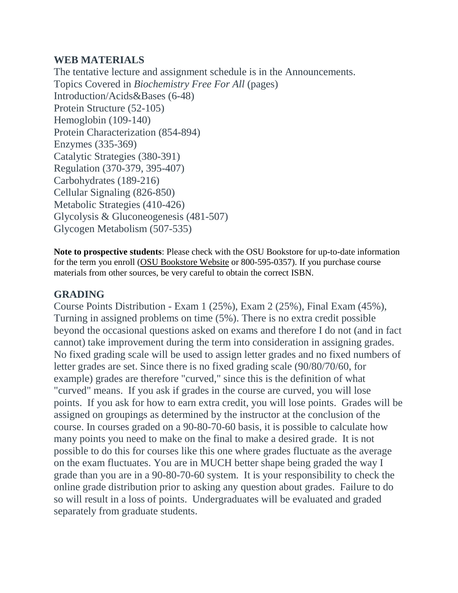#### **WEB MATERIALS**

The tentative lecture and assignment schedule is in the Announcements. Topics Covered in *Biochemistry Free For All* (pages) Introduction/Acids&Bases (6-48) Protein Structure (52-105) Hemoglobin (109-140) Protein Characterization (854-894) Enzymes (335-369) Catalytic Strategies (380-391) Regulation (370-379, 395-407) Carbohydrates (189-216) Cellular Signaling (826-850) Metabolic Strategies (410-426) Glycolysis & Gluconeogenesis (481-507) Glycogen Metabolism (507-535)

**Note to prospective students**: Please check with the OSU Bookstore for up-to-date information for the term you enroll [\(OSU](http://osubeaverstore.com/Academics) Bookstore Website or 800-595-0357). If you purchase course materials from other sources, be very careful to obtain the correct ISBN.

### **GRADING**

Course Points Distribution - Exam 1 (25%), Exam 2 (25%), Final Exam (45%), Turning in assigned problems on time (5%). There is no extra credit possible beyond the occasional questions asked on exams and therefore I do not (and in fact cannot) take improvement during the term into consideration in assigning grades. No fixed grading scale will be used to assign letter grades and no fixed numbers of letter grades are set. Since there is no fixed grading scale (90/80/70/60, for example) grades are therefore "curved," since this is the definition of what "curved" means. If you ask if grades in the course are curved, you will lose points. If you ask for how to earn extra credit, you will lose points. Grades will be assigned on groupings as determined by the instructor at the conclusion of the course. In courses graded on a 90-80-70-60 basis, it is possible to calculate how many points you need to make on the final to make a desired grade. It is not possible to do this for courses like this one where grades fluctuate as the average on the exam fluctuates. You are in MUCH better shape being graded the way I grade than you are in a 90-80-70-60 system. It is your responsibility to check the online grade distribution prior to asking any question about grades. Failure to do so will result in a loss of points. Undergraduates will be evaluated and graded separately from graduate students.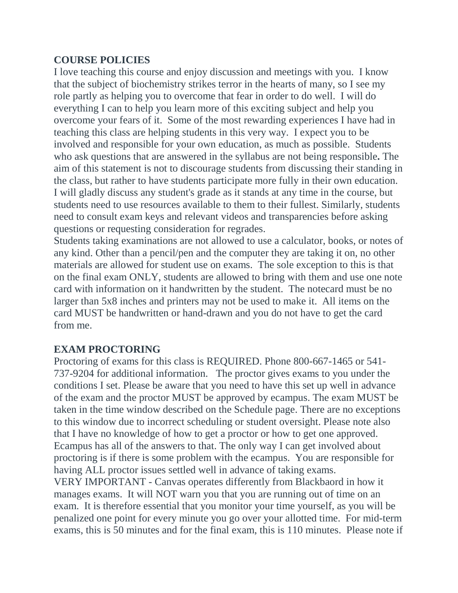#### **COURSE POLICIES**

I love teaching this course and enjoy discussion and meetings with you. I know that the subject of biochemistry strikes terror in the hearts of many, so I see my role partly as helping you to overcome that fear in order to do well. I will do everything I can to help you learn more of this exciting subject and help you overcome your fears of it. Some of the most rewarding experiences I have had in teaching this class are helping students in this very way. I expect you to be involved and responsible for your own education, as much as possible. Students who ask questions that are answered in the syllabus are not being responsible**.** The aim of this statement is not to discourage students from discussing their standing in the class, but rather to have students participate more fully in their own education. I will gladly discuss any student's grade as it stands at any time in the course, but students need to use resources available to them to their fullest. Similarly, students need to consult exam keys and relevant videos and transparencies before asking questions or requesting consideration for regrades.

Students taking examinations are not allowed to use a calculator, books, or notes of any kind. Other than a pencil/pen and the computer they are taking it on, no other materials are allowed for student use on exams. The sole exception to this is that on the final exam ONLY, students are allowed to bring with them and use one note card with information on it handwritten by the student. The notecard must be no larger than 5x8 inches and printers may not be used to make it. All items on the card MUST be handwritten or hand-drawn and you do not have to get the card from me.

#### **EXAM PROCTORING**

Proctoring of exams for this class is REQUIRED. Phone 800-667-1465 or 541- 737-9204 for additional information. The proctor gives exams to you under the conditions I set. Please be aware that you need to have this set up well in advance of the exam and the proctor MUST be approved by ecampus. The exam MUST be taken in the time window described on the Schedule page. There are no exceptions to this window due to incorrect scheduling or student oversight. Please note also that I have no knowledge of how to get a proctor or how to get one approved. Ecampus has all of the answers to that. The only way I can get involved about proctoring is if there is some problem with the ecampus. You are responsible for having ALL proctor issues settled well in advance of taking exams.

VERY IMPORTANT - Canvas operates differently from Blackbaord in how it manages exams. It will NOT warn you that you are running out of time on an exam. It is therefore essential that you monitor your time yourself, as you will be penalized one point for every minute you go over your allotted time. For mid-term exams, this is 50 minutes and for the final exam, this is 110 minutes. Please note if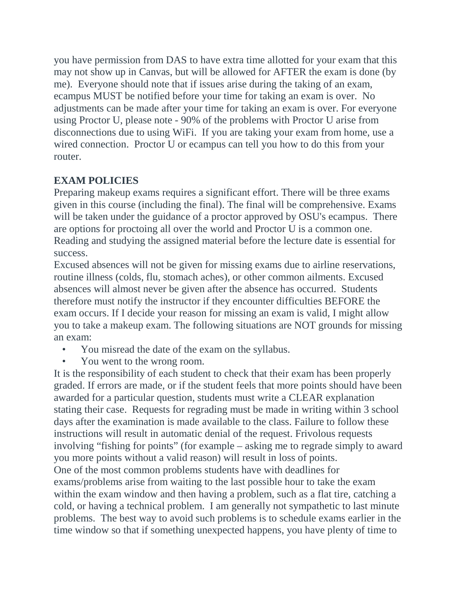you have permission from DAS to have extra time allotted for your exam that this may not show up in Canvas, but will be allowed for AFTER the exam is done (by me). Everyone should note that if issues arise during the taking of an exam, ecampus MUST be notified before your time for taking an exam is over. No adjustments can be made after your time for taking an exam is over. For everyone using Proctor U, please note - 90% of the problems with Proctor U arise from disconnections due to using WiFi. If you are taking your exam from home, use a wired connection. Proctor U or ecampus can tell you how to do this from your router.

## **EXAM POLICIES**

Preparing makeup exams requires a significant effort. There will be three exams given in this course (including the final). The final will be comprehensive. Exams will be taken under the guidance of a proctor approved by OSU's ecampus. There are options for proctoing all over the world and Proctor U is a common one. Reading and studying the assigned material before the lecture date is essential for success.

Excused absences will not be given for missing exams due to airline reservations, routine illness (colds, flu, stomach aches), or other common ailments. Excused absences will almost never be given after the absence has occurred. Students therefore must notify the instructor if they encounter difficulties BEFORE the exam occurs. If I decide your reason for missing an exam is valid, I might allow you to take a makeup exam. The following situations are NOT grounds for missing an exam:

- You misread the date of the exam on the syllabus.
- You went to the wrong room.

It is the responsibility of each student to check that their exam has been properly graded. If errors are made, or if the student feels that more points should have been awarded for a particular question, students must write a CLEAR explanation stating their case. Requests for regrading must be made in writing within 3 school days after the examination is made available to the class. Failure to follow these instructions will result in automatic denial of the request. Frivolous requests involving "fishing for points" (for example – asking me to regrade simply to award you more points without a valid reason) will result in loss of points. One of the most common problems students have with deadlines for exams/problems arise from waiting to the last possible hour to take the exam within the exam window and then having a problem, such as a flat tire, catching a cold, or having a technical problem. I am generally not sympathetic to last minute problems. The best way to avoid such problems is to schedule exams earlier in the time window so that if something unexpected happens, you have plenty of time to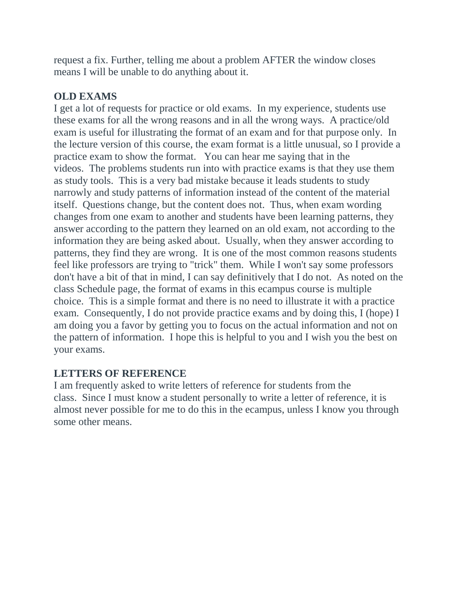request a fix. Further, telling me about a problem AFTER the window closes means I will be unable to do anything about it.

#### **OLD EXAMS**

I get a lot of requests for practice or old exams. In my experience, students use these exams for all the wrong reasons and in all the wrong ways. A practice/old exam is useful for illustrating the format of an exam and for that purpose only. In the lecture version of this course, the exam format is a little unusual, so I provide a practice exam to show the format. You can hear me saying that in the videos. The problems students run into with practice exams is that they use them as study tools. This is a very bad mistake because it leads students to study narrowly and study patterns of information instead of the content of the material itself. Questions change, but the content does not. Thus, when exam wording changes from one exam to another and students have been learning patterns, they answer according to the pattern they learned on an old exam, not according to the information they are being asked about. Usually, when they answer according to patterns, they find they are wrong. It is one of the most common reasons students feel like professors are trying to "trick" them. While I won't say some professors don't have a bit of that in mind, I can say definitively that I do not. As noted on the class Schedule page, the format of exams in this ecampus course is multiple choice. This is a simple format and there is no need to illustrate it with a practice exam. Consequently, I do not provide practice exams and by doing this, I (hope) I am doing you a favor by getting you to focus on the actual information and not on the pattern of information. I hope this is helpful to you and I wish you the best on your exams.

#### **LETTERS OF REFERENCE**

I am frequently asked to write letters of reference for students from the class. Since I must know a student personally to write a letter of reference, it is almost never possible for me to do this in the ecampus, unless I know you through some other means.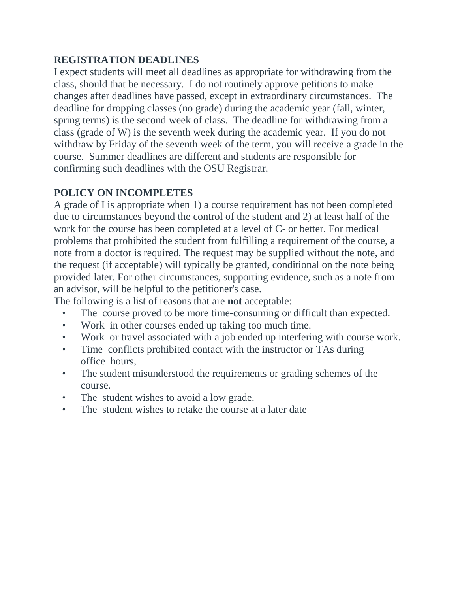#### **REGISTRATION DEADLINES**

I expect students will meet all deadlines as appropriate for withdrawing from the class, should that be necessary. I do not routinely approve petitions to make changes after deadlines have passed, except in extraordinary circumstances. The deadline for dropping classes (no grade) during the academic year (fall, winter, spring terms) is the second week of class. The deadline for withdrawing from a class (grade of W) is the seventh week during the academic year. If you do not withdraw by Friday of the seventh week of the term, you will receive a grade in the course. Summer deadlines are different and students are responsible for confirming such deadlines with the OSU Registrar.

## **POLICY ON INCOMPLETES**

A grade of I is appropriate when 1) a course requirement has not been completed due to circumstances beyond the control of the student and 2) at least half of the work for the course has been completed at a level of C- or better. For medical problems that prohibited the student from fulfilling a requirement of the course, a note from a doctor is required. The request may be supplied without the note, and the request (if acceptable) will typically be granted, conditional on the note being provided later. For other circumstances, supporting evidence, such as a note from an advisor, will be helpful to the petitioner's case.

The following is a list of reasons that are **not** acceptable:

- The course proved to be more time-consuming or difficult than expected.
- Work in other courses ended up taking too much time.
- Work or travel associated with a job ended up interfering with course work.
- Time conflicts prohibited contact with the instructor or TAs during office hours,
- The student misunderstood the requirements or grading schemes of the course.
- The student wishes to avoid a low grade.
- The student wishes to retake the course at a later date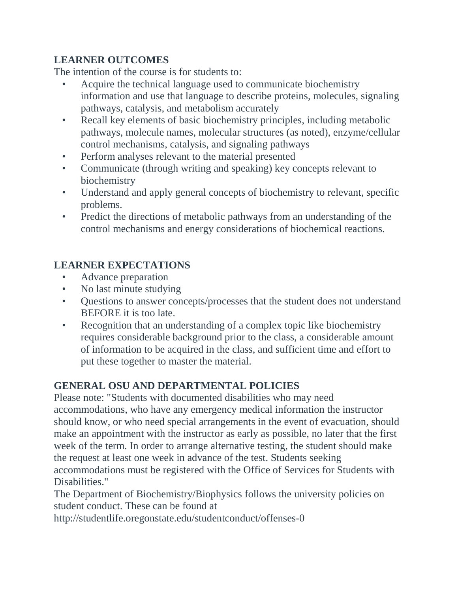## **LEARNER OUTCOMES**

The intention of the course is for students to:

- Acquire the technical language used to communicate biochemistry information and use that language to describe proteins, molecules, signaling pathways, catalysis, and metabolism accurately
- Recall key elements of basic biochemistry principles, including metabolic pathways, molecule names, molecular structures (as noted), enzyme/cellular control mechanisms, catalysis, and signaling pathways
- Perform analyses relevant to the material presented
- Communicate (through writing and speaking) key concepts relevant to biochemistry
- Understand and apply general concepts of biochemistry to relevant, specific problems.
- Predict the directions of metabolic pathways from an understanding of the control mechanisms and energy considerations of biochemical reactions.

# **LEARNER EXPECTATIONS**

- Advance preparation
- No last minute studying
- Questions to answer concepts/processes that the student does not understand BEFORE it is too late.
- Recognition that an understanding of a complex topic like biochemistry requires considerable background prior to the class, a considerable amount of information to be acquired in the class, and sufficient time and effort to put these together to master the material.

# **GENERAL OSU AND DEPARTMENTAL POLICIES**

Please note: "Students with documented disabilities who may need accommodations, who have any emergency medical information the instructor should know, or who need special arrangements in the event of evacuation, should make an appointment with the instructor as early as possible, no later that the first week of the term. In order to arrange alternative testing, the student should make the request at least one week in advance of the test. Students seeking accommodations must be registered with the Office of Services for Students with Disabilities."

The Department of Biochemistry/Biophysics follows the university policies on student conduct. These can be found at

http://studentlife.oregonstate.edu/studentconduct/offenses-0